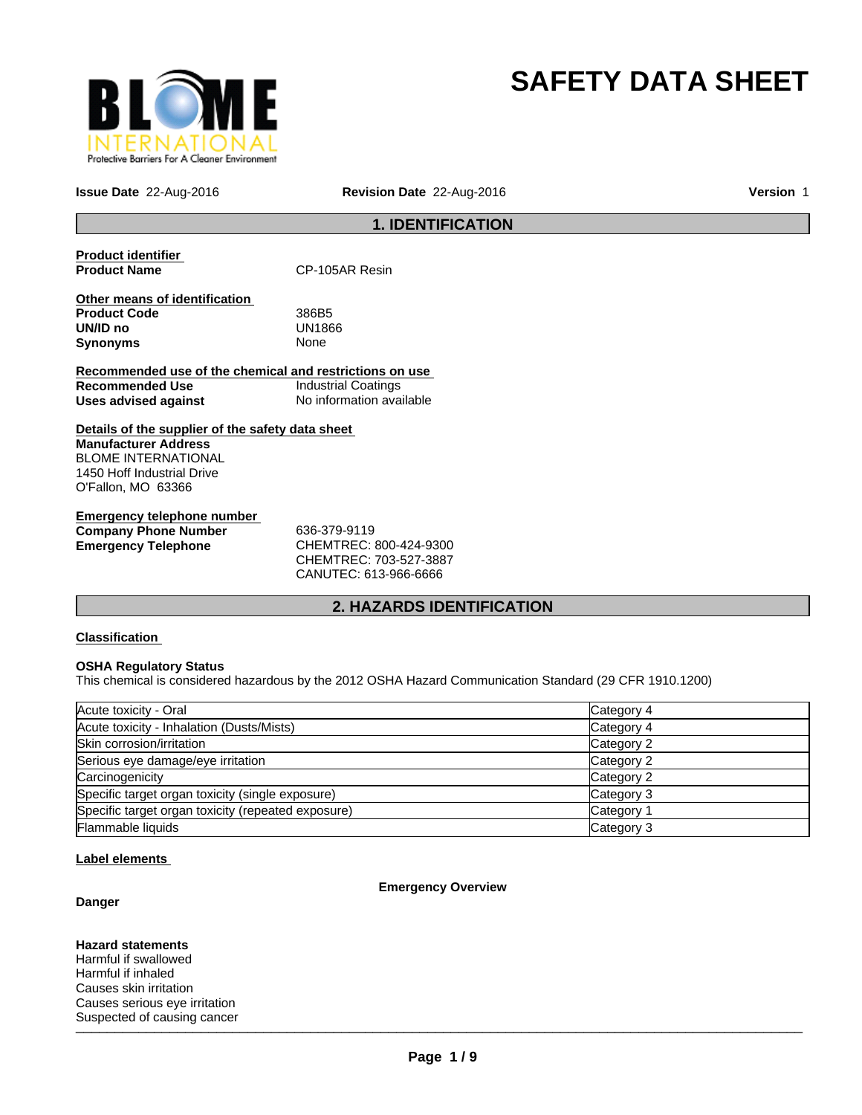

# **SAFETY DATA SHEET**

**Issue Date** 22-Aug-2016 **Revision Date** 22-Aug-2016 **Version** 1

# **1. IDENTIFICATION**

**Product identifier** 

**CP-105AR Resin** 

**Other means of identification Product Code** 386B5 **UN/ID no** UN18<br>**Synonyms** None **Synonyms** 

**Recommended use of the chemical and restrictions on use Recommended Use** Industrial Coatings **Uses advised against** No information available

**Details of the supplier of the safety data sheet Manufacturer Address** BLOME INTERNATIONAL 1450 Hoff Industrial Drive O'Fallon, MO 63366

**Emergency telephone number Company Phone Number** 636-379-9119 **Emergency Telephone** CHEMTREC: 800-424-9300

CHEMTREC: 703-527-3887 CANUTEC: 613-966-6666

# **2. HAZARDS IDENTIFICATION**

# **Classification**

### **OSHA Regulatory Status**

This chemical is considered hazardous by the 2012 OSHA Hazard Communication Standard (29 CFR 1910.1200)

| Acute toxicity - Oral                              | Category 4 |
|----------------------------------------------------|------------|
| Acute toxicity - Inhalation (Dusts/Mists)          | Category 4 |
| Skin corrosion/irritation                          | Category 2 |
| Serious eye damage/eye irritation                  | Category 2 |
| Carcinogenicity                                    | Category 2 |
| Specific target organ toxicity (single exposure)   | Category 3 |
| Specific target organ toxicity (repeated exposure) | Category 1 |
| <b>Flammable liquids</b>                           | Category 3 |

### **Label elements**

### **Emergency Overview**

**Danger**

 $\blacksquare$ **Hazard statements** Harmful if swallowed Harmful if inhaled Causes skin irritation Causes serious eye irritation Suspected of causing cancer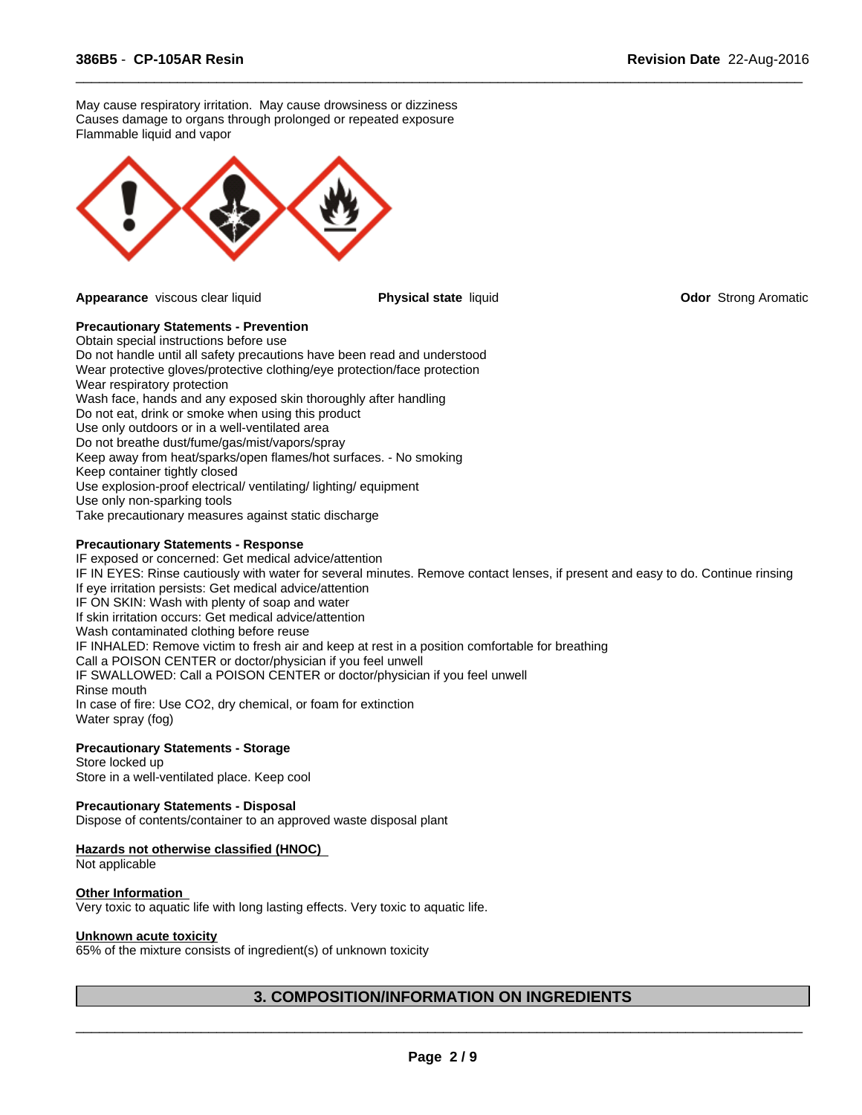May cause respiratory irritation. May cause drowsiness or dizziness Causes damage to organs through prolonged or repeated exposure Flammable liquid and vapor



**Appearance** viscous clear liquid **Physical state** liquid **Odor** Strong Aromatic

 $\overline{\phantom{a}}$  ,  $\overline{\phantom{a}}$  ,  $\overline{\phantom{a}}$  ,  $\overline{\phantom{a}}$  ,  $\overline{\phantom{a}}$  ,  $\overline{\phantom{a}}$  ,  $\overline{\phantom{a}}$  ,  $\overline{\phantom{a}}$  ,  $\overline{\phantom{a}}$  ,  $\overline{\phantom{a}}$  ,  $\overline{\phantom{a}}$  ,  $\overline{\phantom{a}}$  ,  $\overline{\phantom{a}}$  ,  $\overline{\phantom{a}}$  ,  $\overline{\phantom{a}}$  ,  $\overline{\phantom{a}}$ 

### **Precautionary Statements - Prevention**

Obtain special instructions before use Do not handle until all safety precautions have been read and understood Wear protective gloves/protective clothing/eye protection/face protection Wear respiratory protection Wash face, hands and any exposed skin thoroughly after handling Do not eat, drink or smoke when using this product Use only outdoors or in a well-ventilated area Do not breathe dust/fume/gas/mist/vapors/spray Keep away from heat/sparks/open flames/hot surfaces. - No smoking Keep container tightly closed Use explosion-proof electrical/ ventilating/ lighting/ equipment Use only non-sparking tools Take precautionary measures against static discharge

## **Precautionary Statements - Response**

IF exposed or concerned: Get medical advice/attention IF IN EYES: Rinse cautiously with water for several minutes. Remove contact lenses, if present and easy to do. Continue rinsing If eye irritation persists: Get medical advice/attention IF ON SKIN: Wash with plenty of soap and water If skin irritation occurs: Get medical advice/attention Wash contaminated clothing before reuse IF INHALED: Remove victim to fresh air and keep at rest in a position comfortable for breathing Call a POISON CENTER or doctor/physician if you feel unwell IF SWALLOWED: Call a POISON CENTER or doctor/physician if you feel unwell Rinse mouth In case of fire: Use CO2, dry chemical, or foam for extinction Water spray (fog)

# **Precautionary Statements - Storage**

Store locked up Store in a well-ventilated place. Keep cool

### **Precautionary Statements - Disposal**

Dispose of contents/container to an approved waste disposal plant

### **Hazards not otherwise classified (HNOC)**

Not applicable

### **Other Information**

Very toxic to aquatic life with long lasting effects. Very toxic to aquatic life.

### **Unknown acute toxicity**

65% of the mixture consists of ingredient(s) of unknown toxicity

# **3. COMPOSITION/INFORMATION ON INGREDIENTS**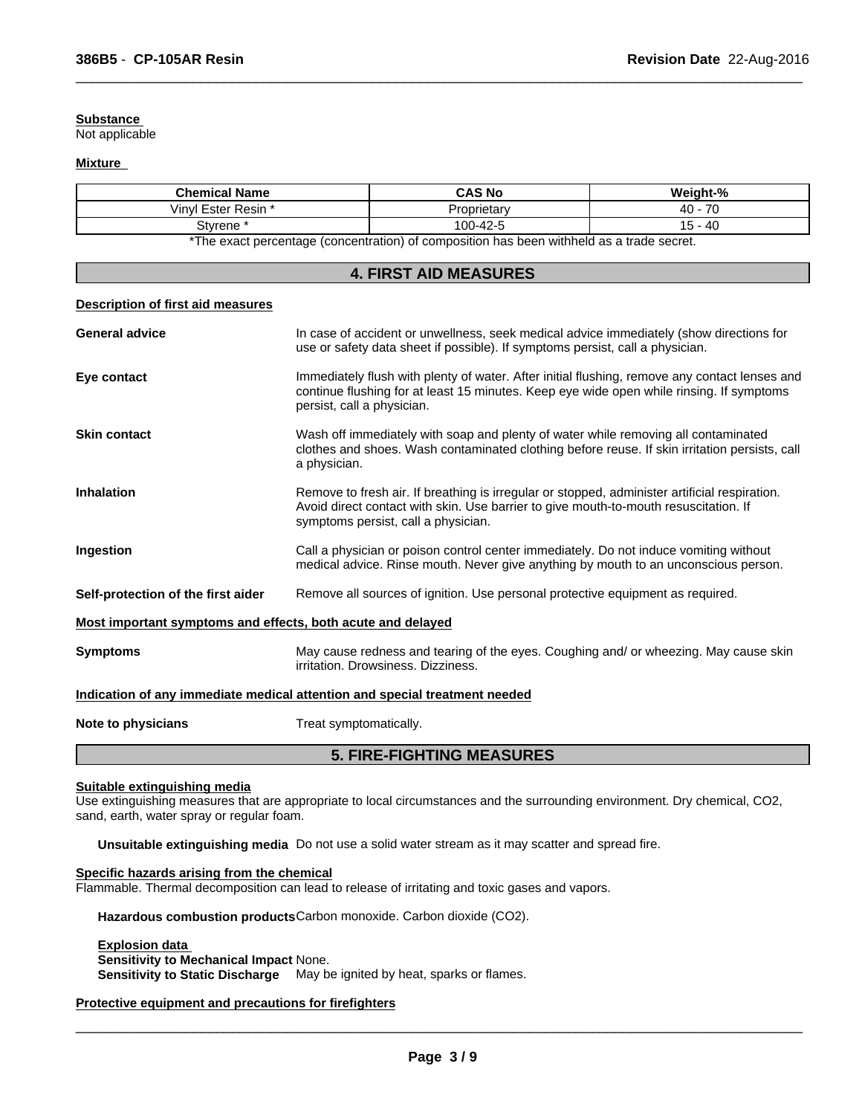# **Substance**

Not applicable

#### **Mixture**

| <b>Chemical Name</b>                                                                                          | <b>CAS No</b> | Weight-%                       |  |  |
|---------------------------------------------------------------------------------------------------------------|---------------|--------------------------------|--|--|
| /invl<br>Ester Resin *                                                                                        | Proprietar∖   | $\overline{\phantom{a}}$<br>40 |  |  |
| Stvrene                                                                                                       | 100-42-5      | $-40$<br>$\cdot$ $\circ$       |  |  |
| *The concentration of a constantial of a concentration has been different to a constitution of the decoration |               |                                |  |  |

 $\overline{\phantom{a}}$  ,  $\overline{\phantom{a}}$  ,  $\overline{\phantom{a}}$  ,  $\overline{\phantom{a}}$  ,  $\overline{\phantom{a}}$  ,  $\overline{\phantom{a}}$  ,  $\overline{\phantom{a}}$  ,  $\overline{\phantom{a}}$  ,  $\overline{\phantom{a}}$  ,  $\overline{\phantom{a}}$  ,  $\overline{\phantom{a}}$  ,  $\overline{\phantom{a}}$  ,  $\overline{\phantom{a}}$  ,  $\overline{\phantom{a}}$  ,  $\overline{\phantom{a}}$  ,  $\overline{\phantom{a}}$ 

The exact percentage (concentration) of composition has been withheld as a trade secret.

|                                                             | <b>4. FIRST AID MEASURES</b>                                                                                                                                                                                                 |
|-------------------------------------------------------------|------------------------------------------------------------------------------------------------------------------------------------------------------------------------------------------------------------------------------|
| <b>Description of first aid measures</b>                    |                                                                                                                                                                                                                              |
| <b>General advice</b>                                       | In case of accident or unwellness, seek medical advice immediately (show directions for<br>use or safety data sheet if possible). If symptoms persist, call a physician.                                                     |
| Eye contact                                                 | Immediately flush with plenty of water. After initial flushing, remove any contact lenses and<br>continue flushing for at least 15 minutes. Keep eye wide open while rinsing. If symptoms<br>persist, call a physician.      |
| <b>Skin contact</b>                                         | Wash off immediately with soap and plenty of water while removing all contaminated<br>clothes and shoes. Wash contaminated clothing before reuse. If skin irritation persists, call<br>a physician.                          |
| <b>Inhalation</b>                                           | Remove to fresh air. If breathing is irregular or stopped, administer artificial respiration.<br>Avoid direct contact with skin. Use barrier to give mouth-to-mouth resuscitation. If<br>symptoms persist, call a physician. |
| Ingestion                                                   | Call a physician or poison control center immediately. Do not induce vomiting without<br>medical advice. Rinse mouth. Never give anything by mouth to an unconscious person.                                                 |
| Self-protection of the first aider                          | Remove all sources of ignition. Use personal protective equipment as required.                                                                                                                                               |
| Most important symptoms and effects, both acute and delayed |                                                                                                                                                                                                                              |
| <b>Symptoms</b>                                             | May cause redness and tearing of the eyes. Coughing and/ or wheezing. May cause skin<br>irritation. Drowsiness. Dizziness.                                                                                                   |
|                                                             | Indication of any immediate medical attention and special treatment needed                                                                                                                                                   |
| Note to physicians                                          | Treat symptomatically.                                                                                                                                                                                                       |
|                                                             | <b>5. FIRE-FIGHTING MEASURES</b>                                                                                                                                                                                             |

#### **Suitable extinguishing media**

Use extinguishing measures that are appropriate to local circumstances and the surrounding environment. Dry chemical, CO2, sand, earth, water spray or regular foam.

**Unsuitable extinguishing media** Do not use a solid water stream as it may scatter and spread fire.

# **Specific hazards arising from the chemical**

Flammable. Thermal decomposition can lead to release of irritating and toxic gases and vapors.

**Hazardous combustion products**Carbon monoxide. Carbon dioxide (CO2).

#### **Explosion data Sensitivity to Mechanical Impact** None.

**Sensitivity to Static Discharge** May be ignited by heat, sparks or flames.

# **Protective equipment and precautions for firefighters**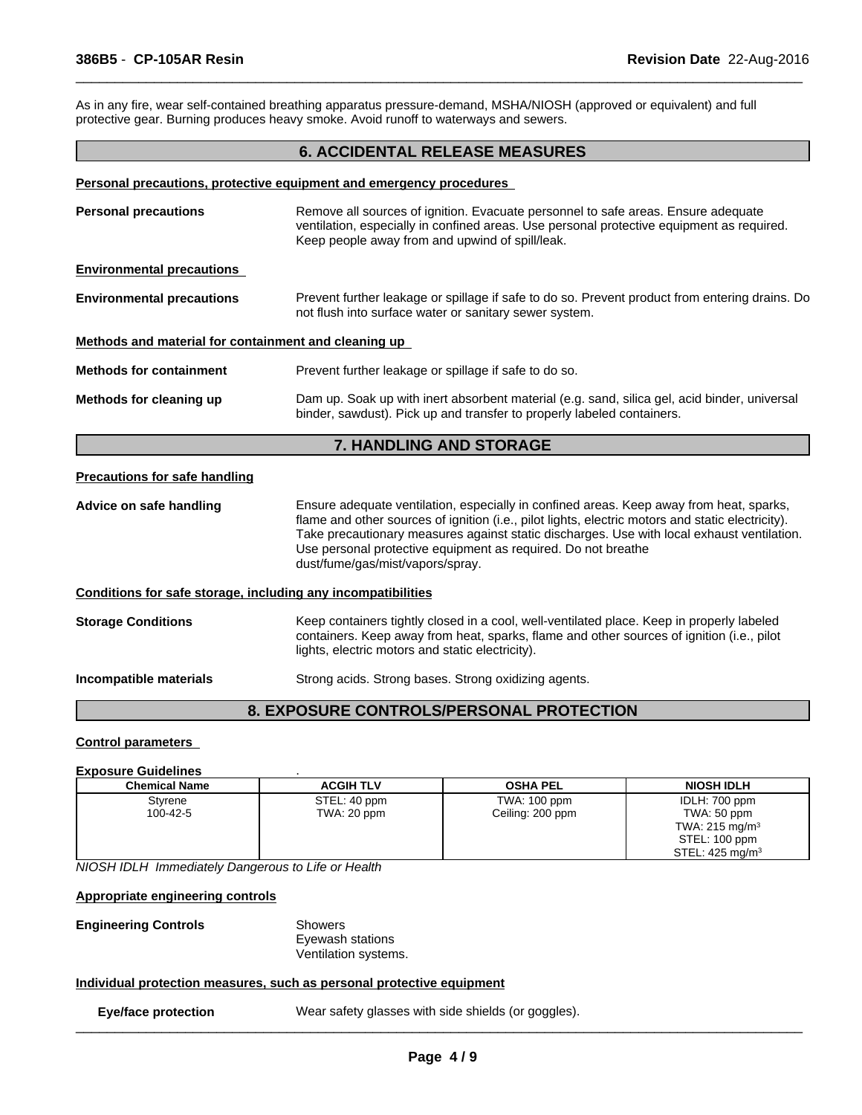As in any fire, wear self-contained breathing apparatus pressure-demand, MSHA/NIOSH (approved or equivalent) and full protective gear. Burning produces heavy smoke. Avoid runoff to waterways and sewers.

# **6. ACCIDENTAL RELEASE MEASURES**

 $\overline{\phantom{a}}$  ,  $\overline{\phantom{a}}$  ,  $\overline{\phantom{a}}$  ,  $\overline{\phantom{a}}$  ,  $\overline{\phantom{a}}$  ,  $\overline{\phantom{a}}$  ,  $\overline{\phantom{a}}$  ,  $\overline{\phantom{a}}$  ,  $\overline{\phantom{a}}$  ,  $\overline{\phantom{a}}$  ,  $\overline{\phantom{a}}$  ,  $\overline{\phantom{a}}$  ,  $\overline{\phantom{a}}$  ,  $\overline{\phantom{a}}$  ,  $\overline{\phantom{a}}$  ,  $\overline{\phantom{a}}$ 

#### **Personal precautions, protective equipment and emergency procedures**

| <b>Personal precautions</b>                                  | Remove all sources of ignition. Evacuate personnel to safe areas. Ensure adequate<br>ventilation, especially in confined areas. Use personal protective equipment as required.<br>Keep people away from and upwind of spill/leak.                                                                                                                                                               |
|--------------------------------------------------------------|-------------------------------------------------------------------------------------------------------------------------------------------------------------------------------------------------------------------------------------------------------------------------------------------------------------------------------------------------------------------------------------------------|
| <b>Environmental precautions</b>                             |                                                                                                                                                                                                                                                                                                                                                                                                 |
| <b>Environmental precautions</b>                             | Prevent further leakage or spillage if safe to do so. Prevent product from entering drains. Do<br>not flush into surface water or sanitary sewer system.                                                                                                                                                                                                                                        |
| Methods and material for containment and cleaning up         |                                                                                                                                                                                                                                                                                                                                                                                                 |
| <b>Methods for containment</b>                               | Prevent further leakage or spillage if safe to do so.                                                                                                                                                                                                                                                                                                                                           |
| Methods for cleaning up                                      | Dam up. Soak up with inert absorbent material (e.g. sand, silica gel, acid binder, universal<br>binder, sawdust). Pick up and transfer to properly labeled containers.                                                                                                                                                                                                                          |
|                                                              | <b>7. HANDLING AND STORAGE</b>                                                                                                                                                                                                                                                                                                                                                                  |
| <b>Precautions for safe handling</b>                         |                                                                                                                                                                                                                                                                                                                                                                                                 |
| Advice on safe handling                                      | Ensure adequate ventilation, especially in confined areas. Keep away from heat, sparks,<br>flame and other sources of ignition (i.e., pilot lights, electric motors and static electricity).<br>Take precautionary measures against static discharges. Use with local exhaust ventilation.<br>Use personal protective equipment as required. Do not breathe<br>dust/fume/gas/mist/vapors/spray. |
| Conditions for safe storage, including any incompatibilities |                                                                                                                                                                                                                                                                                                                                                                                                 |
| <b>Storage Conditions</b>                                    | Keep containers tightly closed in a cool, well-ventilated place. Keep in properly labeled<br>containers. Keep away from heat, sparks, flame and other sources of ignition (i.e., pilot<br>lights, electric motors and static electricity).                                                                                                                                                      |
| Incompatible materials                                       | Strong acids. Strong bases. Strong oxidizing agents.                                                                                                                                                                                                                                                                                                                                            |
|                                                              |                                                                                                                                                                                                                                                                                                                                                                                                 |

# **8. EXPOSURE CONTROLS/PERSONAL PROTECTION**

### **Control parameters**

#### **Exposure Guidelines** .

| <b>Chemical Name</b> | <b>ACGIH TLV</b> | <b>OSHA PEL</b>  | <b>NIOSH IDLH</b>          |
|----------------------|------------------|------------------|----------------------------|
| Styrene              | STEL: 40 ppm     | TWA: 100 ppm     | IDLH: 700 ppm              |
| 100-42-5             | TWA: 20 ppm      | Ceiling: 200 ppm | TWA: 50 ppm                |
|                      |                  |                  | TWA: $215 \text{ mg/m}^3$  |
|                      |                  |                  | STEL: 100 ppm              |
|                      |                  |                  | STEL: $425 \text{ mg/m}^3$ |

*NIOSH IDLH Immediately Dangerous to Life or Health*

**Appropriate engineering controls**

**Engineering Controls** Showers

Eyewash stations Ventilation systems.

# **Individual protection measures, such as personal protective equipment**

**Eye/face protection** Wear safety glasses with side shields (or goggles).  $\_$  ,  $\_$  ,  $\_$  ,  $\_$  ,  $\_$  ,  $\_$  ,  $\_$  ,  $\_$  ,  $\_$  ,  $\_$  ,  $\_$  ,  $\_$  ,  $\_$  ,  $\_$  ,  $\_$  ,  $\_$  ,  $\_$  ,  $\_$  ,  $\_$  ,  $\_$  ,  $\_$  ,  $\_$  ,  $\_$  ,  $\_$  ,  $\_$  ,  $\_$  ,  $\_$  ,  $\_$  ,  $\_$  ,  $\_$  ,  $\_$  ,  $\_$  ,  $\_$  ,  $\_$  ,  $\_$  ,  $\_$  ,  $\_$  ,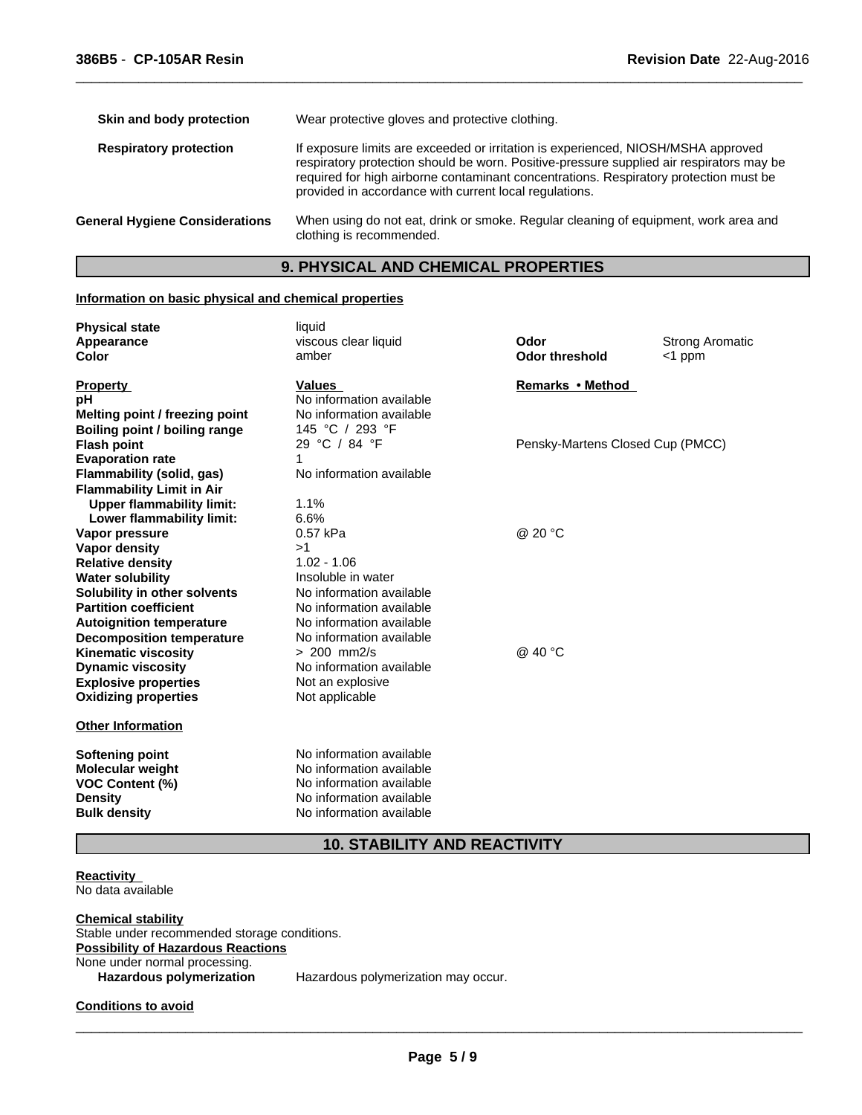| Skin and body protection              | Wear protective gloves and protective clothing.                                                                                                                                                                                                                                                                                  |
|---------------------------------------|----------------------------------------------------------------------------------------------------------------------------------------------------------------------------------------------------------------------------------------------------------------------------------------------------------------------------------|
| <b>Respiratory protection</b>         | If exposure limits are exceeded or irritation is experienced, NIOSH/MSHA approved<br>respiratory protection should be worn. Positive-pressure supplied air respirators may be<br>required for high airborne contaminant concentrations. Respiratory protection must be<br>provided in accordance with current local regulations. |
| <b>General Hygiene Considerations</b> | When using do not eat, drink or smoke. Regular cleaning of equipment, work area and<br>clothing is recommended.                                                                                                                                                                                                                  |

 $\overline{\phantom{a}}$  ,  $\overline{\phantom{a}}$  ,  $\overline{\phantom{a}}$  ,  $\overline{\phantom{a}}$  ,  $\overline{\phantom{a}}$  ,  $\overline{\phantom{a}}$  ,  $\overline{\phantom{a}}$  ,  $\overline{\phantom{a}}$  ,  $\overline{\phantom{a}}$  ,  $\overline{\phantom{a}}$  ,  $\overline{\phantom{a}}$  ,  $\overline{\phantom{a}}$  ,  $\overline{\phantom{a}}$  ,  $\overline{\phantom{a}}$  ,  $\overline{\phantom{a}}$  ,  $\overline{\phantom{a}}$ 

# **9. PHYSICAL AND CHEMICAL PROPERTIES**

# **Information on basic physical and chemical properties**

| <b>Physical state</b>            | liquid                   |                                  |                        |
|----------------------------------|--------------------------|----------------------------------|------------------------|
| Appearance                       | viscous clear liquid     | Odor                             | <b>Strong Aromatic</b> |
| <b>Color</b>                     | amber                    | <b>Odor threshold</b>            | $<$ 1 ppm              |
| <b>Property</b>                  | <b>Values</b>            | Remarks • Method                 |                        |
| рH                               | No information available |                                  |                        |
| Melting point / freezing point   | No information available |                                  |                        |
| Boiling point / boiling range    | 145 °C / 293 °F          |                                  |                        |
| <b>Flash point</b>               | 29 °C / 84 °F            | Pensky-Martens Closed Cup (PMCC) |                        |
| <b>Evaporation rate</b>          | 1                        |                                  |                        |
| <b>Flammability (solid, gas)</b> | No information available |                                  |                        |
| <b>Flammability Limit in Air</b> |                          |                                  |                        |
| <b>Upper flammability limit:</b> | 1.1%                     |                                  |                        |
| Lower flammability limit:        | 6.6%                     |                                  |                        |
| Vapor pressure                   | 0.57 kPa                 | @ 20 °C                          |                        |
| Vapor density                    | >1                       |                                  |                        |
| <b>Relative density</b>          | $1.02 - 1.06$            |                                  |                        |
| <b>Water solubility</b>          | Insoluble in water       |                                  |                        |
| Solubility in other solvents     | No information available |                                  |                        |
| <b>Partition coefficient</b>     | No information available |                                  |                        |
| <b>Autoignition temperature</b>  | No information available |                                  |                        |
| <b>Decomposition temperature</b> | No information available |                                  |                        |
| <b>Kinematic viscosity</b>       | $> 200$ mm2/s            | @ 40 °C                          |                        |
| <b>Dynamic viscosity</b>         | No information available |                                  |                        |
| <b>Explosive properties</b>      | Not an explosive         |                                  |                        |
| <b>Oxidizing properties</b>      | Not applicable           |                                  |                        |
| <b>Other Information</b>         |                          |                                  |                        |
| <b>Softening point</b>           | No information available |                                  |                        |
| Molecular weight                 | No information available |                                  |                        |
| <b>VOC Content (%)</b>           | No information available |                                  |                        |
| <b>Density</b>                   | No information available |                                  |                        |
| <b>Bulk density</b>              | No information available |                                  |                        |
|                                  |                          |                                  |                        |

# **10. STABILITY AND REACTIVITY**

**Reactivity**  No data available

**Chemical stability** Stable under recommended storage conditions. **Possibility of Hazardous Reactions** None under normal processing.<br>Hazardous polymerization

Hazardous polymerization may occur.

**Conditions to avoid**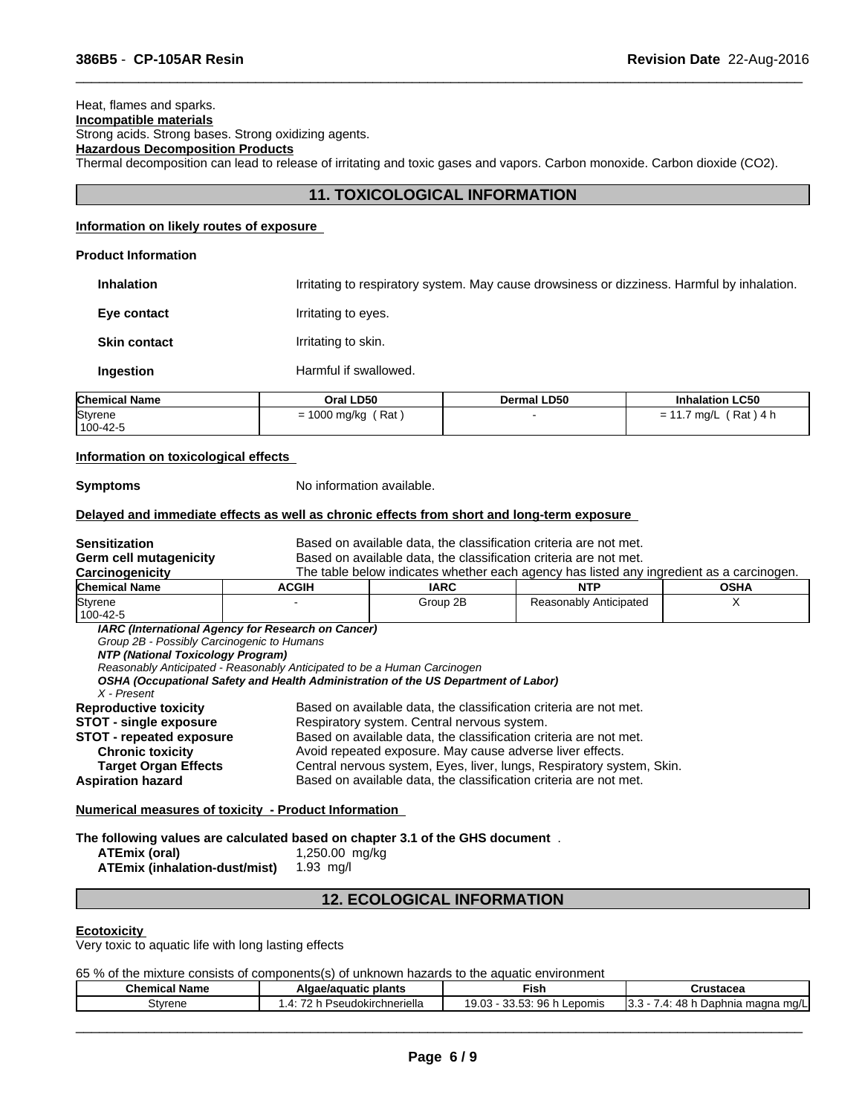**Product Information**

# Heat, flames and sparks. **Incompatible materials**

Strong acids. Strong bases. Strong oxidizing agents.

# **Hazardous Decomposition Products**

Thermal decomposition can lead to release of irritating and toxic gases and vapors. Carbon monoxide. Carbon dioxide (CO2).

# **11. TOXICOLOGICAL INFORMATION**

 $\overline{\phantom{a}}$  ,  $\overline{\phantom{a}}$  ,  $\overline{\phantom{a}}$  ,  $\overline{\phantom{a}}$  ,  $\overline{\phantom{a}}$  ,  $\overline{\phantom{a}}$  ,  $\overline{\phantom{a}}$  ,  $\overline{\phantom{a}}$  ,  $\overline{\phantom{a}}$  ,  $\overline{\phantom{a}}$  ,  $\overline{\phantom{a}}$  ,  $\overline{\phantom{a}}$  ,  $\overline{\phantom{a}}$  ,  $\overline{\phantom{a}}$  ,  $\overline{\phantom{a}}$  ,  $\overline{\phantom{a}}$ 

# **Information on likely routes of exposure**

| <b>Inhalation</b>    |                       | Irritating to respiratory system. May cause drowsiness or dizziness. Harmful by inhalation. |                         |  |  |
|----------------------|-----------------------|---------------------------------------------------------------------------------------------|-------------------------|--|--|
| Eye contact          | Irritating to eyes.   |                                                                                             |                         |  |  |
| <b>Skin contact</b>  | Irritating to skin.   |                                                                                             |                         |  |  |
| <b>Ingestion</b>     | Harmful if swallowed. |                                                                                             |                         |  |  |
| <b>Chemical Name</b> | Oral LD50             | <b>Dermal LD50</b>                                                                          | <b>Inhalation LC50</b>  |  |  |
| Styrene              | $= 1000$ mg/kg (Rat)  |                                                                                             | $= 11.7$ mg/L (Rat) 4 h |  |  |

### **Information on toxicological effects**

100-42-5

**Symptoms** No information available.

# **Delayed and immediate effects as well as chronic effects from short and long-term exposure**

| <b>Sensitization</b>                       |                                                                                    |                                             | Based on available data, the classification criteria are not met.                        |             |  |
|--------------------------------------------|------------------------------------------------------------------------------------|---------------------------------------------|------------------------------------------------------------------------------------------|-------------|--|
| Germ cell mutagenicity                     |                                                                                    |                                             | Based on available data, the classification criteria are not met.                        |             |  |
| <b>Carcinogenicity</b>                     |                                                                                    |                                             | The table below indicates whether each agency has listed any ingredient as a carcinogen. |             |  |
| <b>Chemical Name</b>                       | <b>ACGIH</b>                                                                       | <b>IARC</b>                                 | <b>NTP</b>                                                                               | <b>OSHA</b> |  |
| Styrene                                    |                                                                                    | Group 2B                                    | Reasonably Anticipated                                                                   | X           |  |
| 100-42-5                                   |                                                                                    |                                             |                                                                                          |             |  |
|                                            | IARC (International Agency for Research on Cancer)                                 |                                             |                                                                                          |             |  |
| Group 2B - Possibly Carcinogenic to Humans |                                                                                    |                                             |                                                                                          |             |  |
| NTP (National Toxicology Program)          |                                                                                    |                                             |                                                                                          |             |  |
|                                            | Reasonably Anticipated - Reasonably Anticipated to be a Human Carcinogen           |                                             |                                                                                          |             |  |
|                                            | OSHA (Occupational Safety and Health Administration of the US Department of Labor) |                                             |                                                                                          |             |  |
| X - Present                                |                                                                                    |                                             |                                                                                          |             |  |
| <b>Reproductive toxicity</b>               |                                                                                    |                                             | Based on available data, the classification criteria are not met.                        |             |  |
| <b>STOT - single exposure</b>              |                                                                                    | Respiratory system. Central nervous system. |                                                                                          |             |  |
| <b>STOT - repeated exposure</b>            |                                                                                    |                                             | Based on available data, the classification criteria are not met.                        |             |  |
| <b>Chronic toxicity</b>                    |                                                                                    |                                             | Avoid repeated exposure. May cause adverse liver effects.                                |             |  |
| <b>Target Organ Effects</b>                |                                                                                    |                                             | Central nervous system, Eyes, liver, lungs, Respiratory system, Skin.                    |             |  |
|                                            |                                                                                    |                                             |                                                                                          |             |  |
| <b>Aspiration hazard</b>                   |                                                                                    |                                             | Based on available data, the classification criteria are not met.                        |             |  |
|                                            |                                                                                    |                                             |                                                                                          |             |  |

## **Numerical measures of toxicity - Product Information**

**The following values are calculated based on chapter 3.1 of the GHS document** .

| ATEmix (oral)                 | 1,250.00 mg/kg |
|-------------------------------|----------------|
| ATEmix (inhalation-dust/mist) | 1.93 mg/l      |

# **12. ECOLOGICAL INFORMATION**

### **Ecotoxicity**

Very toxic to aquatic life with long lasting effects

65 % of the mixture consists of components(s) of unknown hazards to the aquatic environment

| <b>Chemical Name</b> | Algae/aguatic<br>plants          | -ish                                                                         | ™ustacea                                                       |
|----------------------|----------------------------------|------------------------------------------------------------------------------|----------------------------------------------------------------|
| Stvrene              | --<br>eudokirchneriella<br>55.11 | 0G.<br>ົ<br>$\sim$<br>$\sim$<br>Lepomis<br><br>. 9.US.<br>ັນບ<br><u>ນນ.ນ</u> | י<br>ı maqna mq/L<br>hnia<br>$\sim$<br>יים.<br>. т.<br>$\cdot$ |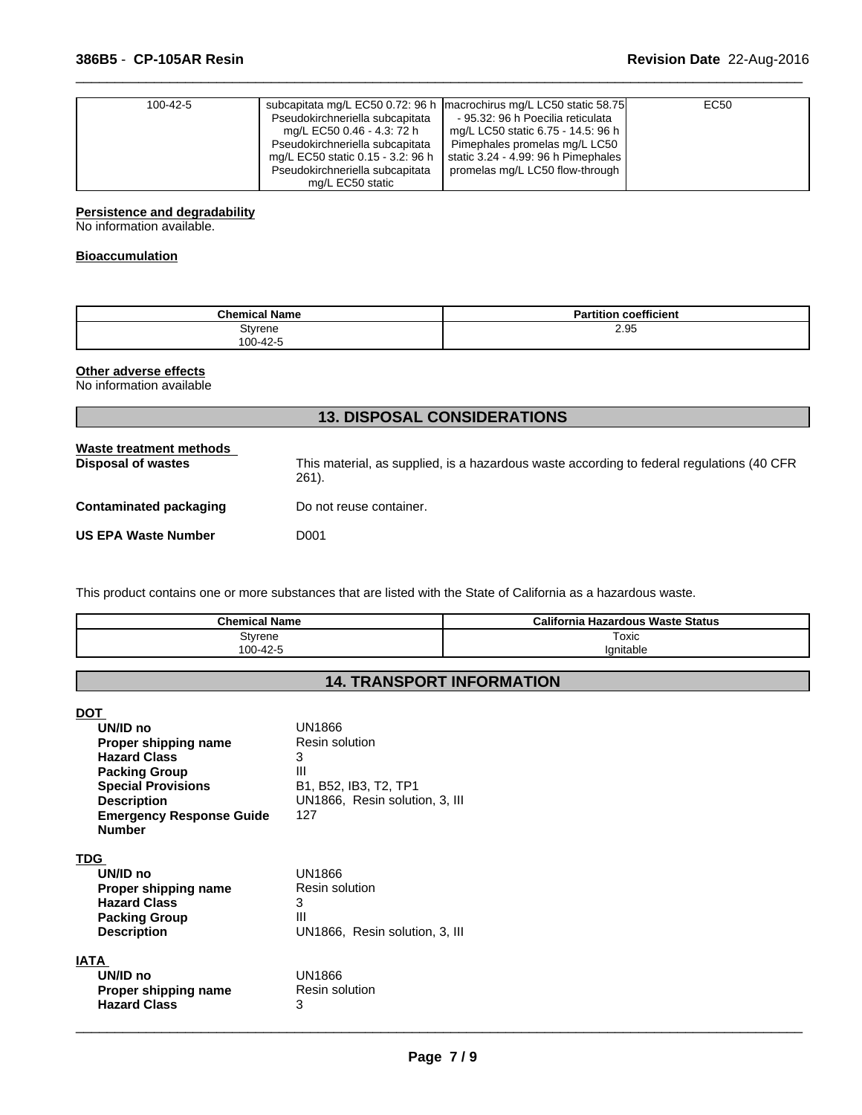| 100-42-5 | Pseudokirchneriella subcapitata<br>mg/L EC50 0.46 - 4.3: 72 h<br>Pseudokirchneriella subcapitata<br>mg/L EC50 static 0.15 - 3.2: 96 h | subcapitata mg/L EC50 0.72: 96 h   macrochirus mg/L LC50 static 58.75<br>- 95.32: 96 h Poecilia reticulata<br>mg/L LC50 static 6.75 - 14.5: 96 h<br>Pimephales promelas mg/L LC50<br>static 3.24 - 4.99: 96 h Pimephales | EC <sub>50</sub> |
|----------|---------------------------------------------------------------------------------------------------------------------------------------|--------------------------------------------------------------------------------------------------------------------------------------------------------------------------------------------------------------------------|------------------|
|          | Pseudokirchneriella subcapitata<br>mg/L EC50 static                                                                                   | promelas mg/L LC50 flow-through                                                                                                                                                                                          |                  |

 $\overline{\phantom{a}}$  ,  $\overline{\phantom{a}}$  ,  $\overline{\phantom{a}}$  ,  $\overline{\phantom{a}}$  ,  $\overline{\phantom{a}}$  ,  $\overline{\phantom{a}}$  ,  $\overline{\phantom{a}}$  ,  $\overline{\phantom{a}}$  ,  $\overline{\phantom{a}}$  ,  $\overline{\phantom{a}}$  ,  $\overline{\phantom{a}}$  ,  $\overline{\phantom{a}}$  ,  $\overline{\phantom{a}}$  ,  $\overline{\phantom{a}}$  ,  $\overline{\phantom{a}}$  ,  $\overline{\phantom{a}}$ 

### **Persistence and degradability**

No information available.

# **Bioaccumulation**

| <b>Chemical Name</b> | coefficient<br>.<br><b>Partition</b> |
|----------------------|--------------------------------------|
| Styrene<br>100-42-5  | 2.95                                 |

# **Other adverse effects**

No information available

| <b>13. DISPOSAL CONSIDERATIONS</b>                   |                                                                                                    |  |  |  |
|------------------------------------------------------|----------------------------------------------------------------------------------------------------|--|--|--|
| Waste treatment methods<br><b>Disposal of wastes</b> | This material, as supplied, is a hazardous waste according to federal regulations (40 CFR<br>261). |  |  |  |
| Contaminated packaging                               | Do not reuse container.                                                                            |  |  |  |
| <b>US EPA Waste Number</b>                           | D001                                                                                               |  |  |  |
|                                                      |                                                                                                    |  |  |  |

This product contains one or more substances that are listed with the State of California as a hazardous waste.

| <b>Chemical Name</b> | <b>California Hazardous Waste Status</b> |
|----------------------|------------------------------------------|
| Styrene              | Toxic                                    |
| 0-42-5<br>$100 -$    | Ignitable                                |

# **14. TRANSPORT INFORMATION**

| <b>DOT</b>                      |                                |
|---------------------------------|--------------------------------|
| UN/ID no                        | UN1866                         |
| Proper shipping name            | Resin solution                 |
| <b>Hazard Class</b>             | 3                              |
| <b>Packing Group</b>            | Ш                              |
| <b>Special Provisions</b>       | B1, B52, IB3, T2, TP1          |
| <b>Description</b>              | UN1866, Resin solution, 3, III |
| <b>Emergency Response Guide</b> | 127                            |
| <b>Number</b>                   |                                |
|                                 |                                |
| <b>TDG</b>                      |                                |
| UN/ID no                        | UN1866                         |
| Proper shipping name            | Resin solution                 |
| <b>Hazard Class</b>             | 3                              |
| <b>Packing Group</b>            | Ш                              |
| <b>Description</b>              | UN1866, Resin solution, 3, III |
|                                 |                                |
| IATA                            |                                |
| UN/ID no                        | UN1866                         |
| Proper shipping name            | Resin solution                 |
| <b>Hazard Class</b>             | 3                              |
|                                 |                                |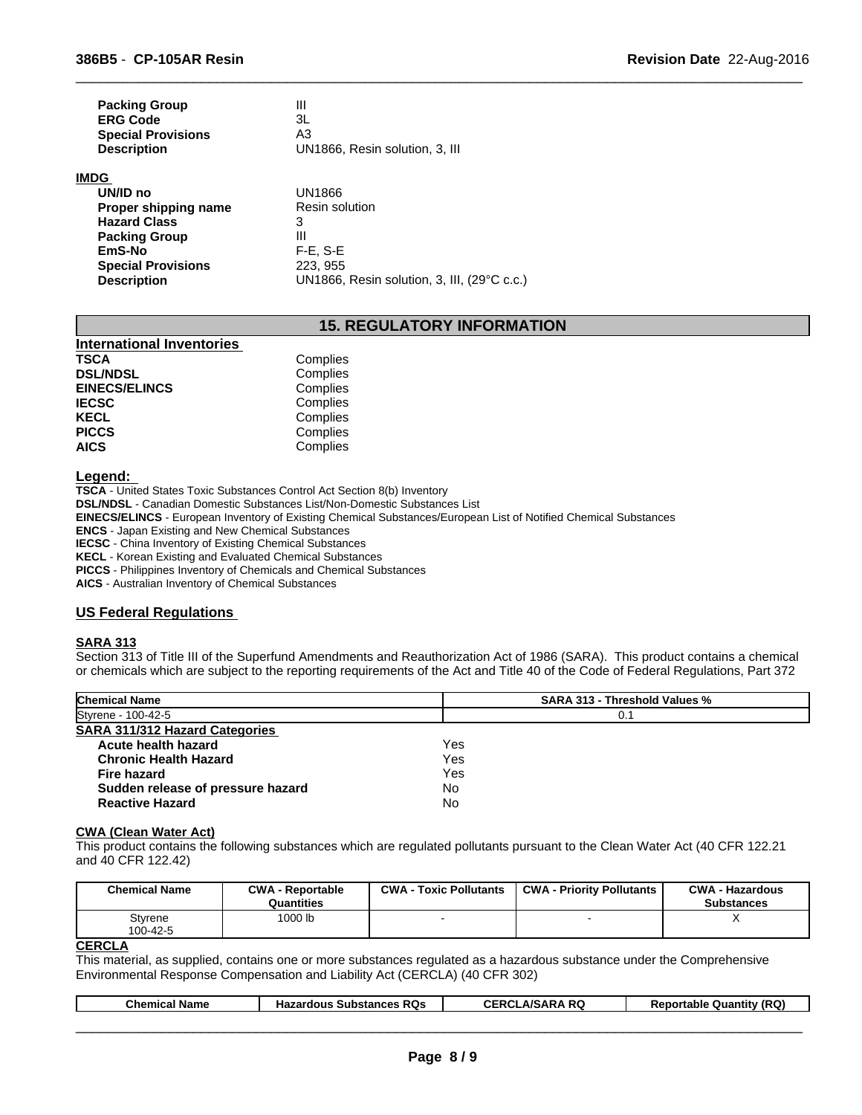| <b>Packing Group</b>      | Ш                              |
|---------------------------|--------------------------------|
| <b>ERG Code</b>           | ЗL                             |
| <b>Special Provisions</b> | A3                             |
| <b>Description</b>        | UN1866, Resin solution, 3, III |
| <b>IMDG</b>               |                                |

| UN/ID no                  | UN1866                                      |
|---------------------------|---------------------------------------------|
| Proper shipping name      | Resin solution                              |
| <b>Hazard Class</b>       | 3                                           |
| <b>Packing Group</b>      | Ш                                           |
| <b>EmS-No</b>             | $F-E. S-E$                                  |
| <b>Special Provisions</b> | 223, 955                                    |
| <b>Description</b>        | UN1866, Resin solution, 3, III, (29°C c.c.) |

# **15. REGULATORY INFORMATION**

 $\overline{\phantom{a}}$  ,  $\overline{\phantom{a}}$  ,  $\overline{\phantom{a}}$  ,  $\overline{\phantom{a}}$  ,  $\overline{\phantom{a}}$  ,  $\overline{\phantom{a}}$  ,  $\overline{\phantom{a}}$  ,  $\overline{\phantom{a}}$  ,  $\overline{\phantom{a}}$  ,  $\overline{\phantom{a}}$  ,  $\overline{\phantom{a}}$  ,  $\overline{\phantom{a}}$  ,  $\overline{\phantom{a}}$  ,  $\overline{\phantom{a}}$  ,  $\overline{\phantom{a}}$  ,  $\overline{\phantom{a}}$ 

| <b>International Inventories</b> |          |  |
|----------------------------------|----------|--|
| <b>TSCA</b>                      | Complies |  |
| <b>DSL/NDSL</b>                  | Complies |  |
| <b>EINECS/ELINCS</b>             | Complies |  |
| <b>IECSC</b>                     | Complies |  |
| <b>KECL</b>                      | Complies |  |
| <b>PICCS</b>                     | Complies |  |
| <b>AICS</b>                      | Complies |  |

# **Legend:**

**TSCA** - United States Toxic Substances Control Act Section 8(b) Inventory **DSL/NDSL** - Canadian Domestic Substances List/Non-Domestic Substances List

**EINECS/ELINCS** - European Inventory of Existing Chemical Substances/European List of Notified Chemical Substances

**ENCS** - Japan Existing and New Chemical Substances

**IECSC** - China Inventory of Existing Chemical Substances

**KECL** - Korean Existing and Evaluated Chemical Substances

**PICCS** - Philippines Inventory of Chemicals and Chemical Substances

**AICS** - Australian Inventory of Chemical Substances

### **US Federal Regulations**

#### **SARA 313**

Section 313 of Title III of the Superfund Amendments and Reauthorization Act of 1986 (SARA). This product contains a chemical or chemicals which are subject to the reporting requirements of the Act and Title 40 of the Code of Federal Regulations, Part 372

| <b>Chemical Name</b>                  | <b>SARA 313 - Threshold Values %</b> |  |
|---------------------------------------|--------------------------------------|--|
| Styrene - 100-42-5                    | 0.1                                  |  |
| <b>SARA 311/312 Hazard Categories</b> |                                      |  |
| Acute health hazard                   | Yes                                  |  |
| <b>Chronic Health Hazard</b>          | Yes                                  |  |
| Fire hazard                           | Yes                                  |  |
| Sudden release of pressure hazard     | No                                   |  |
| <b>Reactive Hazard</b>                | No                                   |  |

#### **CWA (Clean Water Act)**

This product contains the following substances which are regulated pollutants pursuant to the Clean Water Act (40 CFR 122.21 and 40 CFR 122.42)

| <b>Chemical Name</b> | <b>CWA - Reportable</b><br>Quantities | <b>CWA - Toxic Pollutants</b> | <b>CWA - Priority Pollutants</b> | <b>CWA - Hazardous</b><br><b>Substances</b> |
|----------------------|---------------------------------------|-------------------------------|----------------------------------|---------------------------------------------|
| Styrene<br>100-42-5  | 1000 lb                               |                               | -                                | $\lambda$                                   |
| $\cdots$             |                                       |                               |                                  |                                             |

#### **CERCLA**

This material, as supplied, contains one or more substances regulated as a hazardous substance under the Comprehensive Environmental Response Compensation and Liability Act (CERCLA) (40 CFR 302)

|  | Chemic.<br>Name | RQs<br>$\sim$<br>. н.<br>.<br>1d4<br>suosiai | DC.<br>. <i>.</i><br><br>NW | $\sim$<br><br>capie<br>ww |
|--|-----------------|----------------------------------------------|-----------------------------|---------------------------|
|--|-----------------|----------------------------------------------|-----------------------------|---------------------------|